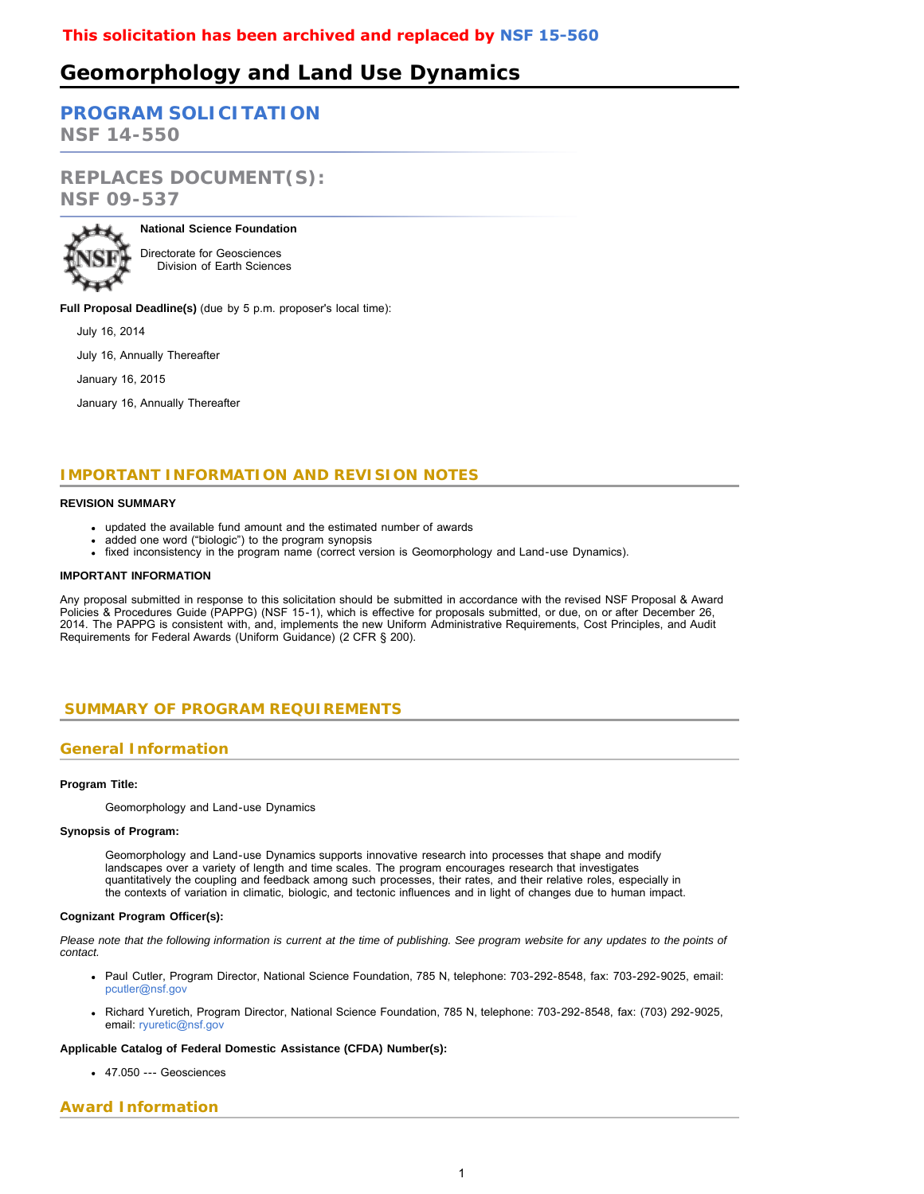# **Geomorphology and Land Use Dynamics**

**[PROGRAM SOLICITATION](#page-1-0)**

**NSF 14-550**

**REPLACES DOCUMENT(S): NSF 09-537**



**National Science Foundation** Directorate for Geosciences Division of Earth Sciences

**Full Proposal Deadline(s)** (due by 5 p.m. proposer's local time):

July 16, 2014

July 16, Annually Thereafter

January 16, 2015

January 16, Annually Thereafter

# **IMPORTANT INFORMATION AND REVISION NOTES**

#### **REVISION SUMMARY**

- updated the available fund amount and the estimated number of awards
- added one word ("biologic") to the program synopsis
- fixed inconsistency in the program name (correct version is Geomorphology and Land-use Dynamics).

#### **IMPORTANT INFORMATION**

Any proposal submitted in response to this solicitation should be submitted in accordance with the revised NSF Proposal & Award Policies & Procedures Guide (PAPPG) (NSF 15-1), which is effective for proposals submitted, or due, on or after December 26, 2014. The PAPPG is consistent with, and, implements the new Uniform Administrative Requirements, Cost Principles, and Audit Requirements for Federal Awards (Uniform Guidance) (2 CFR § 200).

# <span id="page-0-0"></span> **SUMMARY OF PROGRAM REQUIREMENTS**

### **General Information**

### **Program Title:**

Geomorphology and Land-use Dynamics

#### **Synopsis of Program:**

Geomorphology and Land-use Dynamics supports innovative research into processes that shape and modify landscapes over a variety of length and time scales. The program encourages research that investigates quantitatively the coupling and feedback among such processes, their rates, and their relative roles, especially in the contexts of variation in climatic, biologic, and tectonic influences and in light of changes due to human impact.

### **Cognizant Program Officer(s):**

*Please note that the following information is current at the time of publishing. See program website for any updates to the points of contact.*

- Paul Cutler, Program Director, National Science Foundation, 785 N, telephone: 703-292-8548, fax: 703-292-9025, email: [pcutler@nsf.gov](mailto:pcutler@nsf.gov)
- Richard Yuretich, Program Director, National Science Foundation, 785 N, telephone: 703-292-8548, fax: (703) 292-9025, email: [ryuretic@nsf.gov](mailto:ryuretic@nsf.gov)

#### **Applicable Catalog of Federal Domestic Assistance (CFDA) Number(s):**

47.050 --- Geosciences

# **Award Information**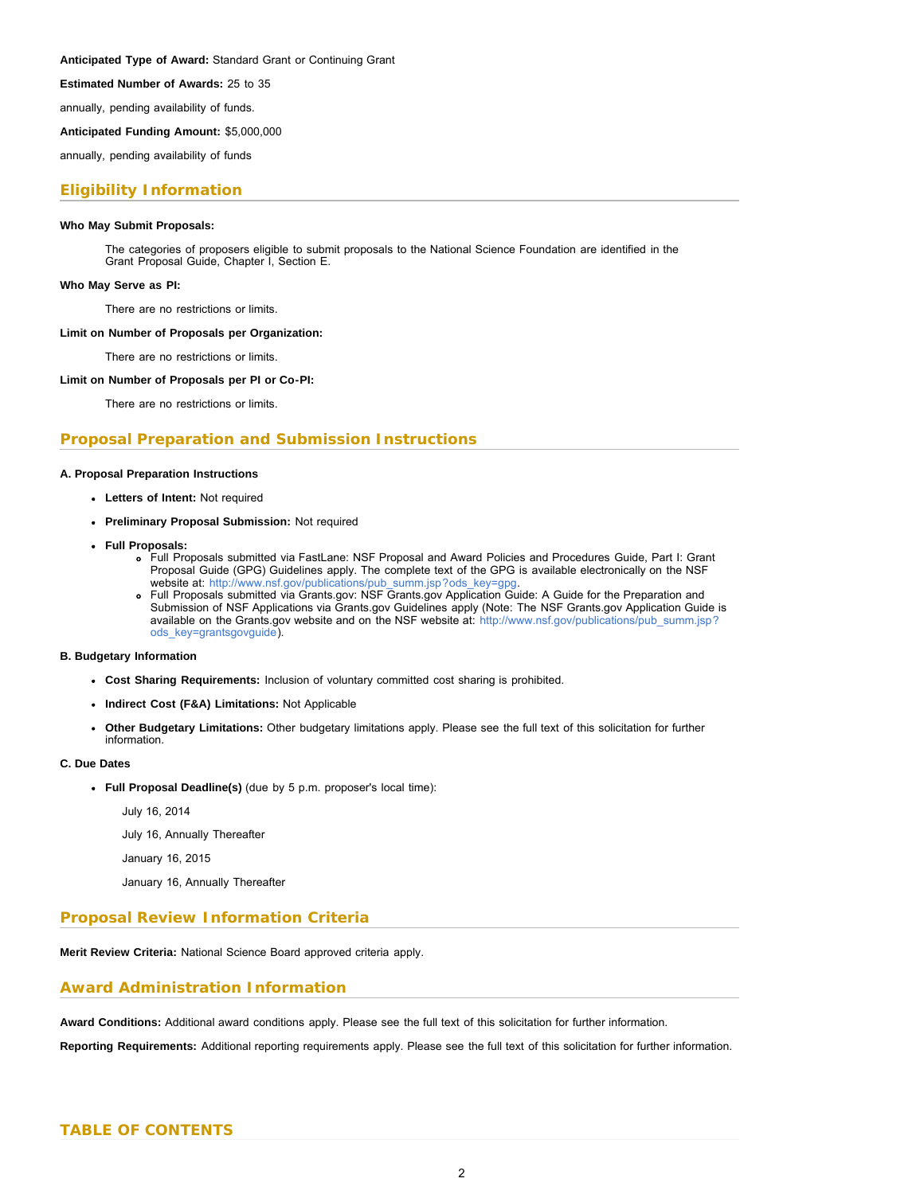#### **Anticipated Type of Award:** Standard Grant or Continuing Grant

**Estimated Number of Awards:** 25 to 35

annually, pending availability of funds.

**Anticipated Funding Amount:** \$5,000,000

annually, pending availability of funds

# **Eligibility Information**

#### **Who May Submit Proposals:**

The categories of proposers eligible to submit proposals to the National Science Foundation are identified in the Grant Proposal Guide, Chapter I, Section E.

#### **Who May Serve as PI:**

There are no restrictions or limits.

#### **Limit on Number of Proposals per Organization:**

There are no restrictions or limits.

#### **Limit on Number of Proposals per PI or Co-PI:**

There are no restrictions or limits.

## **Proposal Preparation and Submission Instructions**

#### **A. Proposal Preparation Instructions**

- **Letters of Intent:** Not required
- **Preliminary Proposal Submission:** Not required
- **Full Proposals:**
	- Full Proposals submitted via FastLane: NSF Proposal and Award Policies and Procedures Guide, Part I: Grant Proposal Guide (GPG) Guidelines apply. The complete text of the GPG is available electronically on the NSF website at: http://www.nsf.gov/publications/pub\_summ.jsp?ods\_key=gpg
	- Full Proposals submitted via Grants.gov: NSF Grants.gov Application Guide: A Guide for the Preparation and Submission of NSF Applications via Grants.gov Guidelines apply (Note: The NSF Grants.gov Application Guide is available on the Grants.gov website and on the NSF website at: [http://www.nsf.gov/publications/pub\\_summ.jsp?](http://www.nsf.gov/publications/pub_summ.jsp?ods_key=grantsgovguide) [ods\\_key=grantsgovguide\)](http://www.nsf.gov/publications/pub_summ.jsp?ods_key=grantsgovguide).

#### **B. Budgetary Information**

- **Cost Sharing Requirements:** Inclusion of voluntary committed cost sharing is prohibited.
- **Indirect Cost (F&A) Limitations:** Not Applicable
- **Other Budgetary Limitations:** Other budgetary limitations apply. Please see the full text of this solicitation for further information.

#### **C. Due Dates**

- **Full Proposal Deadline(s)** (due by 5 p.m. proposer's local time):
	- July 16, 2014
	- July 16, Annually Thereafter
	- January 16, 2015
	- January 16, Annually Thereafter

## **Proposal Review Information Criteria**

**Merit Review Criteria:** National Science Board approved criteria apply.

### **Award Administration Information**

**Award Conditions:** Additional award conditions apply. Please see the full text of this solicitation for further information.

<span id="page-1-0"></span>**Reporting Requirements:** Additional reporting requirements apply. Please see the full text of this solicitation for further information.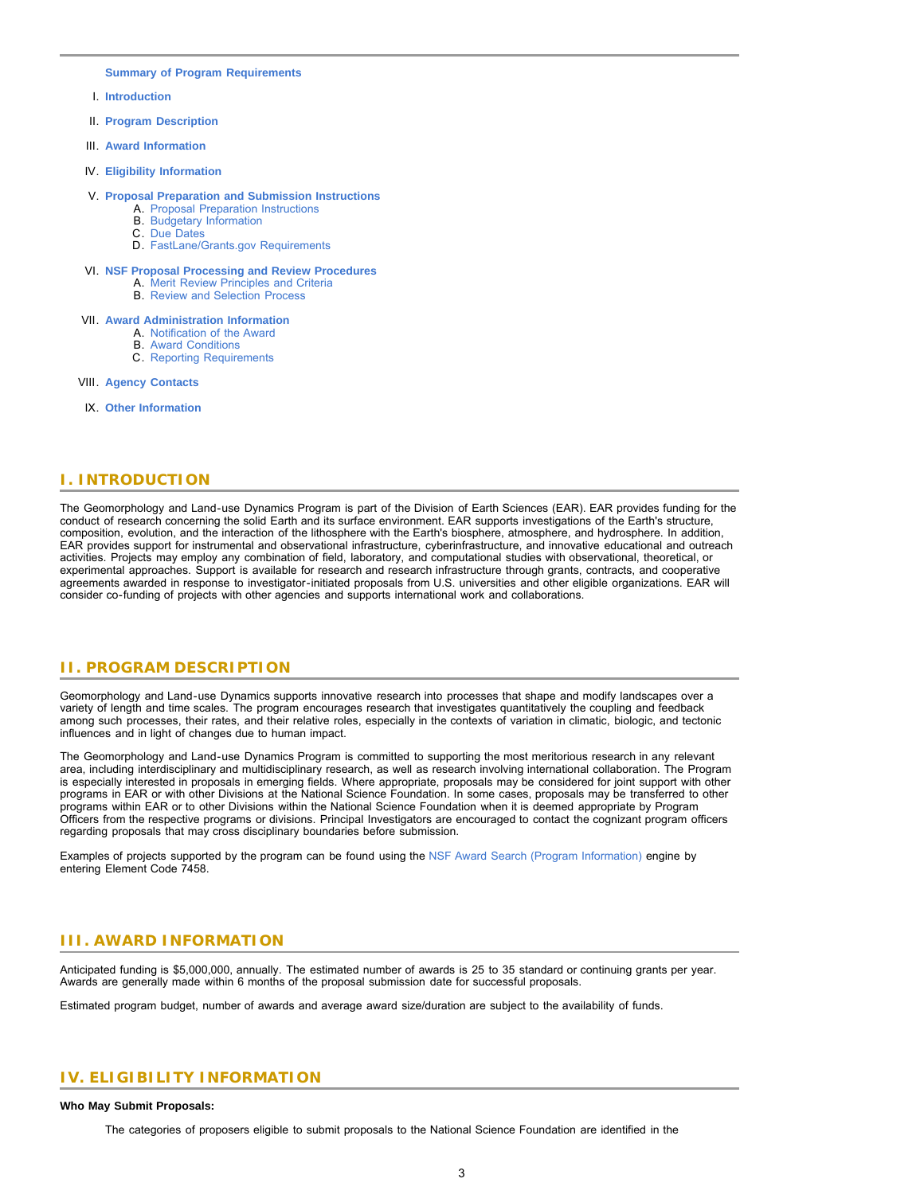**[Summary of Program Requirements](#page-0-0)**

- I. **[Introduction](#page-2-0)**
- II. **[Program Description](#page-2-1)**
- III. **[Award Information](#page-2-2)**
- IV. **[Eligibility Information](#page-2-3)**
- V. **[Proposal Preparation and Submission Instructions](#page-3-0)**
	- A. [Proposal Preparation Instructions](#page-3-0)
	- B. [Budgetary Information](#page-3-1)
	- C. [Due Dates](#page-4-0)
	- D. [FastLane/Grants.gov Requirements](#page-4-1)
- VI. **[NSF Proposal Processing and Review Procedures](#page-4-2)**
	- A. [Merit Review Principles and Criteria](#page-4-3)
	- B. [Review and Selection Process](#page-5-0)
- VII. **[Award Administration Information](#page-6-0)**
	- A. [Notification of the Award](#page-6-1) B. [Award Conditions](#page-6-2)
		- C. [Reporting Requirements](#page-6-3)
- VIII. **[Agency Contacts](#page-7-0)**
- IX. **[Other Information](#page-7-1)**

### <span id="page-2-0"></span>**I. INTRODUCTION**

The Geomorphology and Land-use Dynamics Program is part of the Division of Earth Sciences (EAR). EAR provides funding for the conduct of research concerning the solid Earth and its surface environment. EAR supports investigations of the Earth's structure, composition, evolution, and the interaction of the lithosphere with the Earth's biosphere, atmosphere, and hydrosphere. In addition, EAR provides support for instrumental and observational infrastructure, cyberinfrastructure, and innovative educational and outreach activities. Projects may employ any combination of field, laboratory, and computational studies with observational, theoretical, or experimental approaches. Support is available for research and research infrastructure through grants, contracts, and cooperative agreements awarded in response to investigator-initiated proposals from U.S. universities and other eligible organizations. EAR will consider co-funding of projects with other agencies and supports international work and collaborations.

### <span id="page-2-1"></span>**II. PROGRAM DESCRIPTION**

Geomorphology and Land-use Dynamics supports innovative research into processes that shape and modify landscapes over a variety of length and time scales. The program encourages research that investigates quantitatively the coupling and feedback among such processes, their rates, and their relative roles, especially in the contexts of variation in climatic, biologic, and tectonic influences and in light of changes due to human impact.

The Geomorphology and Land-use Dynamics Program is committed to supporting the most meritorious research in any relevant area, including interdisciplinary and multidisciplinary research, as well as research involving international collaboration. The Program is especially interested in proposals in emerging fields. Where appropriate, proposals may be considered for joint support with other programs in EAR or with other Divisions at the National Science Foundation. In some cases, proposals may be transferred to other programs within EAR or to other Divisions within the National Science Foundation when it is deemed appropriate by Program Officers from the respective programs or divisions. Principal Investigators are encouraged to contact the cognizant program officers regarding proposals that may cross disciplinary boundaries before submission.

Examples of projects supported by the program can be found using the [NSF Award Search \(Program Information\)](http://www.nsf.gov/awardsearch/tab.do?dispatch=2) engine by entering Element Code 7458.

### <span id="page-2-2"></span>**III. AWARD INFORMATION**

Anticipated funding is \$5,000,000, annually. The estimated number of awards is 25 to 35 standard or continuing grants per year. Awards are generally made within 6 months of the proposal submission date for successful proposals.

Estimated program budget, number of awards and average award size/duration are subject to the availability of funds.

### <span id="page-2-3"></span>**IV. ELIGIBILITY INFORMATION**

#### **Who May Submit Proposals:**

The categories of proposers eligible to submit proposals to the National Science Foundation are identified in the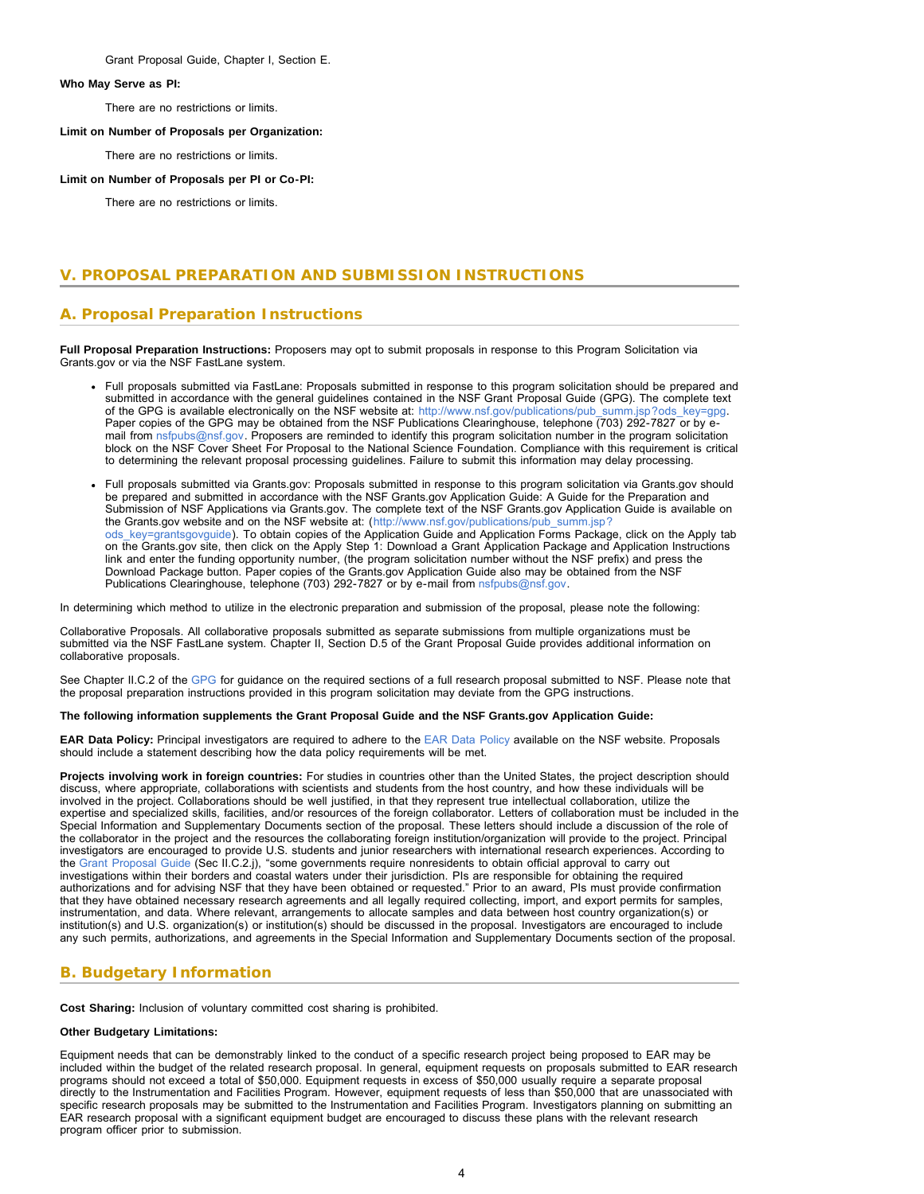Grant Proposal Guide, Chapter I, Section E.

#### **Who May Serve as PI:**

There are no restrictions or limits.

#### **Limit on Number of Proposals per Organization:**

There are no restrictions or limits.

#### **Limit on Number of Proposals per PI or Co-PI:**

There are no restrictions or limits.

# <span id="page-3-0"></span>**V. PROPOSAL PREPARATION AND SUBMISSION INSTRUCTIONS**

# **A. Proposal Preparation Instructions**

**Full Proposal Preparation Instructions:** Proposers may opt to submit proposals in response to this Program Solicitation via Grants.gov or via the NSF FastLane system.

- Full proposals submitted via FastLane: Proposals submitted in response to this program solicitation should be prepared and submitted in accordance with the general guidelines contained in the NSF Grant Proposal Guide (GPG). The complete text of the GPG is available electronically on the NSF website at: [http://www.nsf.gov/publications/pub\\_summ.jsp?ods\\_key=gpg.](http://www.nsf.gov/publications/pub_summ.jsp?ods_key=gpg) Paper copies of the GPG may be obtained from the NSF Publications Clearinghouse, telephone (703) 292-7827 or by email from [nsfpubs@nsf.gov.](mailto:nsfpubs@nsf.gov) Proposers are reminded to identify this program solicitation number in the program solicitation block on the NSF Cover Sheet For Proposal to the National Science Foundation. Compliance with this requirement is critical to determining the relevant proposal processing guidelines. Failure to submit this information may delay processing.
- Full proposals submitted via Grants.gov: Proposals submitted in response to this program solicitation via Grants.gov should be prepared and submitted in accordance with the NSF Grants.gov Application Guide: A Guide for the Preparation and Submission of NSF Applications via Grants.gov. The complete text of the NSF Grants.gov Application Guide is available on the Grants.gov website and on the NSF website at: ([http://www.nsf.gov/publications/pub\\_summ.jsp?](http://www.nsf.gov/publications/pub_summ.jsp?ods_key=grantsgovguide) ods key=grantsgovguide). To obtain copies of the Application Guide and Application Forms Package, click on the Apply tab on the Grants.gov site, then click on the Apply Step 1: Download a Grant Application Package and Application Instructions link and enter the funding opportunity number, (the program solicitation number without the NSF prefix) and press the Download Package button. Paper copies of the Grants.gov Application Guide also may be obtained from the NSF Publications Clearinghouse, telephone (703) 292-7827 or by e-mail from [nsfpubs@nsf.gov.](mailto:nsfpubs@nsf.gov)

In determining which method to utilize in the electronic preparation and submission of the proposal, please note the following:

Collaborative Proposals. All collaborative proposals submitted as separate submissions from multiple organizations must be submitted via the NSF FastLane system. Chapter II, Section D.5 of the Grant Proposal Guide provides additional information on collaborative proposals.

See Chapter II.C.2 of the [GPG](http://www.nsf.gov/publications/pub_summ.jsp?ods_key=gpg) for guidance on the required sections of a full research proposal submitted to NSF. Please note that the proposal preparation instructions provided in this program solicitation may deviate from the GPG instructions.

#### **The following information supplements the Grant Proposal Guide and the NSF Grants.gov Application Guide:**

**EAR Data Policy:** Principal investigators are required to adhere to the [EAR Data Policy](http://www.nsf.gov/bfa/dias/policy/dmp.jsp) available on the NSF website. Proposals should include a statement describing how the data policy requirements will be met.

**Projects involving work in foreign countries:** For studies in countries other than the United States, the project description should discuss, where appropriate, collaborations with scientists and students from the host country, and how these individuals will be involved in the project. Collaborations should be well justified, in that they represent true intellectual collaboration, utilize the expertise and specialized skills, facilities, and/or resources of the foreign collaborator. Letters of collaboration must be included in the Special Information and Supplementary Documents section of the proposal. These letters should include a discussion of the role of the collaborator in the project and the resources the collaborating foreign institution/organization will provide to the project. Principal investigators are encouraged to provide U.S. students and junior researchers with international research experiences. According to the [Grant Proposal Guide](http://www.nsf.gov/publications/pub_summ.jsp?ods_key=gpg) (Sec II.C.2.j), "some governments require nonresidents to obtain official approval to carry out investigations within their borders and coastal waters under their jurisdiction. PIs are responsible for obtaining the required authorizations and for advising NSF that they have been obtained or requested." Prior to an award, PIs must provide confirmation that they have obtained necessary research agreements and all legally required collecting, import, and export permits for samples, instrumentation, and data. Where relevant, arrangements to allocate samples and data between host country organization(s) or institution(s) and U.S. organization(s) or institution(s) should be discussed in the proposal. Investigators are encouraged to include any such permits, authorizations, and agreements in the Special Information and Supplementary Documents section of the proposal.

# <span id="page-3-1"></span>**B. Budgetary Information**

**Cost Sharing:** Inclusion of voluntary committed cost sharing is prohibited.

### **Other Budgetary Limitations:**

Equipment needs that can be demonstrably linked to the conduct of a specific research project being proposed to EAR may be included within the budget of the related research proposal. In general, equipment requests on proposals submitted to EAR research programs should not exceed a total of \$50,000. Equipment requests in excess of \$50,000 usually require a separate proposal directly to the Instrumentation and Facilities Program. However, equipment requests of less than \$50,000 that are unassociated with specific research proposals may be submitted to the Instrumentation and Facilities Program. Investigators planning on submitting an EAR research proposal with a significant equipment budget are encouraged to discuss these plans with the relevant research program officer prior to submission.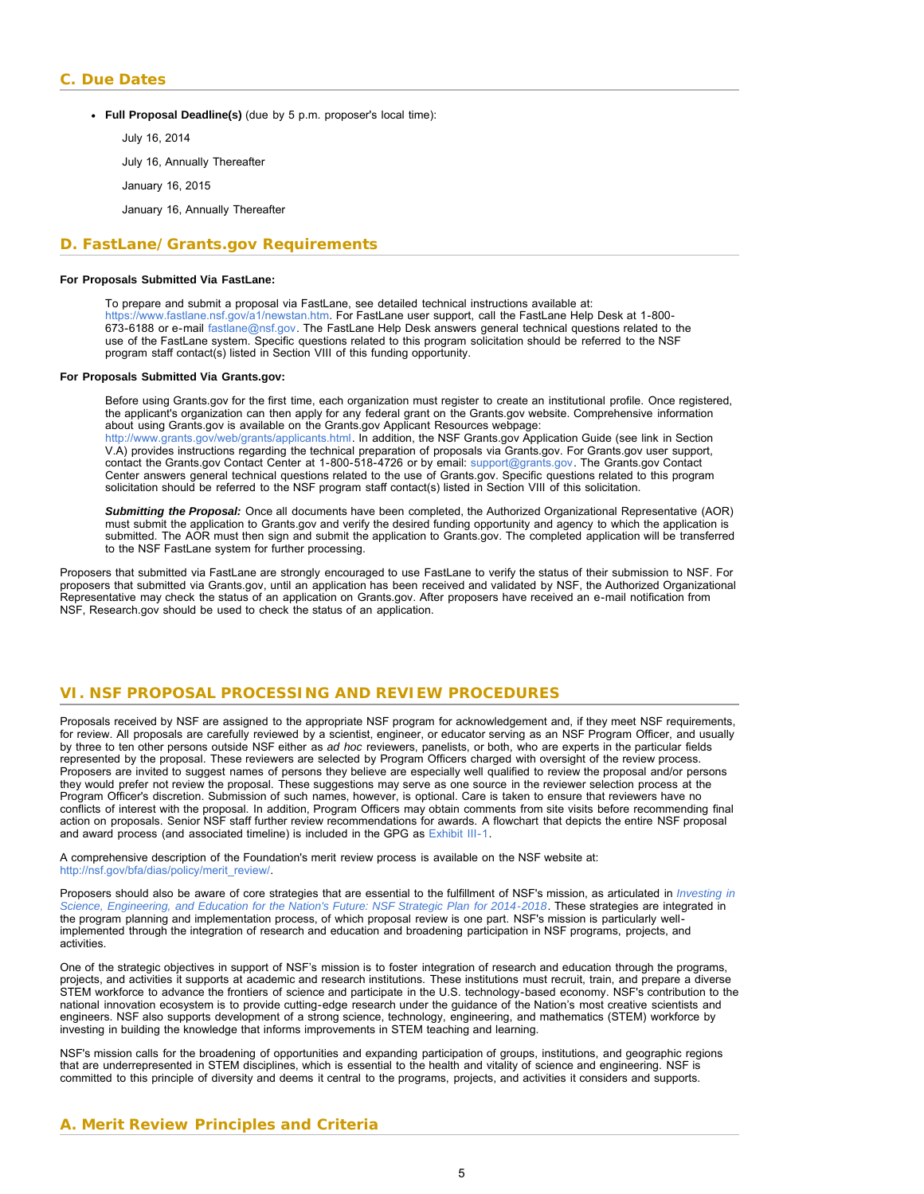- <span id="page-4-0"></span>**Full Proposal Deadline(s)** (due by 5 p.m. proposer's local time):
	- July 16, 2014

July 16, Annually Thereafter

January 16, 2015

January 16, Annually Thereafter

### <span id="page-4-1"></span>**D. FastLane/Grants.gov Requirements**

### **For Proposals Submitted Via FastLane:**

To prepare and submit a proposal via FastLane, see detailed technical instructions available at: [https://www.fastlane.nsf.gov/a1/newstan.htm.](https://www.fastlane.nsf.gov/a1/newstan.htm) For FastLane user support, call the FastLane Help Desk at 1-800- 673-6188 or e-mail [fastlane@nsf.gov.](mailto:fastlane@nsf.gov) The FastLane Help Desk answers general technical questions related to the use of the FastLane system. Specific questions related to this program solicitation should be referred to the NSF program staff contact(s) listed in Section VIII of this funding opportunity.

#### **For Proposals Submitted Via Grants.gov:**

Before using Grants.gov for the first time, each organization must register to create an institutional profile. Once registered, the applicant's organization can then apply for any federal grant on the Grants.gov website. Comprehensive information about using Grants.gov is available on the Grants.gov Applicant Resources webpage: [http://www.grants.gov/web/grants/applicants.html.](http://www.grants.gov/web/grants/applicants.html) In addition, the NSF Grants.gov Application Guide (see link in Section V.A) provides instructions regarding the technical preparation of proposals via Grants.gov. For Grants.gov user support, contact the Grants.gov Contact Center at 1-800-518-4726 or by email: [support@grants.gov](mailto:support@grants.gov). The Grants.gov Contact

Center answers general technical questions related to the use of Grants.gov. Specific questions related to this program solicitation should be referred to the NSF program staff contact(s) listed in Section VIII of this solicitation.

*Submitting the Proposal:* Once all documents have been completed, the Authorized Organizational Representative (AOR) must submit the application to Grants.gov and verify the desired funding opportunity and agency to which the application is submitted. The AOR must then sign and submit the application to Grants.gov. The completed application will be transferred to the NSF FastLane system for further processing.

Proposers that submitted via FastLane are strongly encouraged to use FastLane to verify the status of their submission to NSF. For proposers that submitted via Grants.gov, until an application has been received and validated by NSF, the Authorized Organizational Representative may check the status of an application on Grants.gov. After proposers have received an e-mail notification from NSF, Research.gov should be used to check the status of an application.

### <span id="page-4-2"></span>**VI. NSF PROPOSAL PROCESSING AND REVIEW PROCEDURES**

Proposals received by NSF are assigned to the appropriate NSF program for acknowledgement and, if they meet NSF requirements, for review. All proposals are carefully reviewed by a scientist, engineer, or educator serving as an NSF Program Officer, and usually by three to ten other persons outside NSF either as *ad hoc* reviewers, panelists, or both, who are experts in the particular fields represented by the proposal. These reviewers are selected by Program Officers charged with oversight of the review process. Proposers are invited to suggest names of persons they believe are especially well qualified to review the proposal and/or persons they would prefer not review the proposal. These suggestions may serve as one source in the reviewer selection process at the Program Officer's discretion. Submission of such names, however, is optional. Care is taken to ensure that reviewers have no conflicts of interest with the proposal. In addition, Program Officers may obtain comments from site visits before recommending final action on proposals. Senior NSF staff further review recommendations for awards. A flowchart that depicts the entire NSF proposal and award process (and associated timeline) is included in the GPG as [Exhibit III-1](http://www.nsf.gov/pubs/policydocs/pappguide/nsf14001/gpg_3ex1.pdf).

A comprehensive description of the Foundation's merit review process is available on the NSF website at: [http://nsf.gov/bfa/dias/policy/merit\\_review/.](http://nsf.gov/bfa/dias/policy/merit_review/)

Proposers should also be aware of core strategies that are essential to the fulfillment of NSF's mission, as articulated in *[Investing in](http://www.nsf.gov/pubs/2014/nsf14043/nsf14043.pdf) [Science, Engineering, and Education for the Nation's Future: NSF Strategic Plan for 2014-2018](http://www.nsf.gov/pubs/2014/nsf14043/nsf14043.pdf)*. These strategies are integrated in the program planning and implementation process, of which proposal review is one part. NSF's mission is particularly wellimplemented through the integration of research and education and broadening participation in NSF programs, projects, and activities.

One of the strategic objectives in support of NSF's mission is to foster integration of research and education through the programs, projects, and activities it supports at academic and research institutions. These institutions must recruit, train, and prepare a diverse STEM workforce to advance the frontiers of science and participate in the U.S. technology-based economy. NSF's contribution to the national innovation ecosystem is to provide cutting-edge research under the guidance of the Nation's most creative scientists and engineers. NSF also supports development of a strong science, technology, engineering, and mathematics (STEM) workforce by investing in building the knowledge that informs improvements in STEM teaching and learning.

<span id="page-4-3"></span>NSF's mission calls for the broadening of opportunities and expanding participation of groups, institutions, and geographic regions that are underrepresented in STEM disciplines, which is essential to the health and vitality of science and engineering. NSF is committed to this principle of diversity and deems it central to the programs, projects, and activities it considers and supports.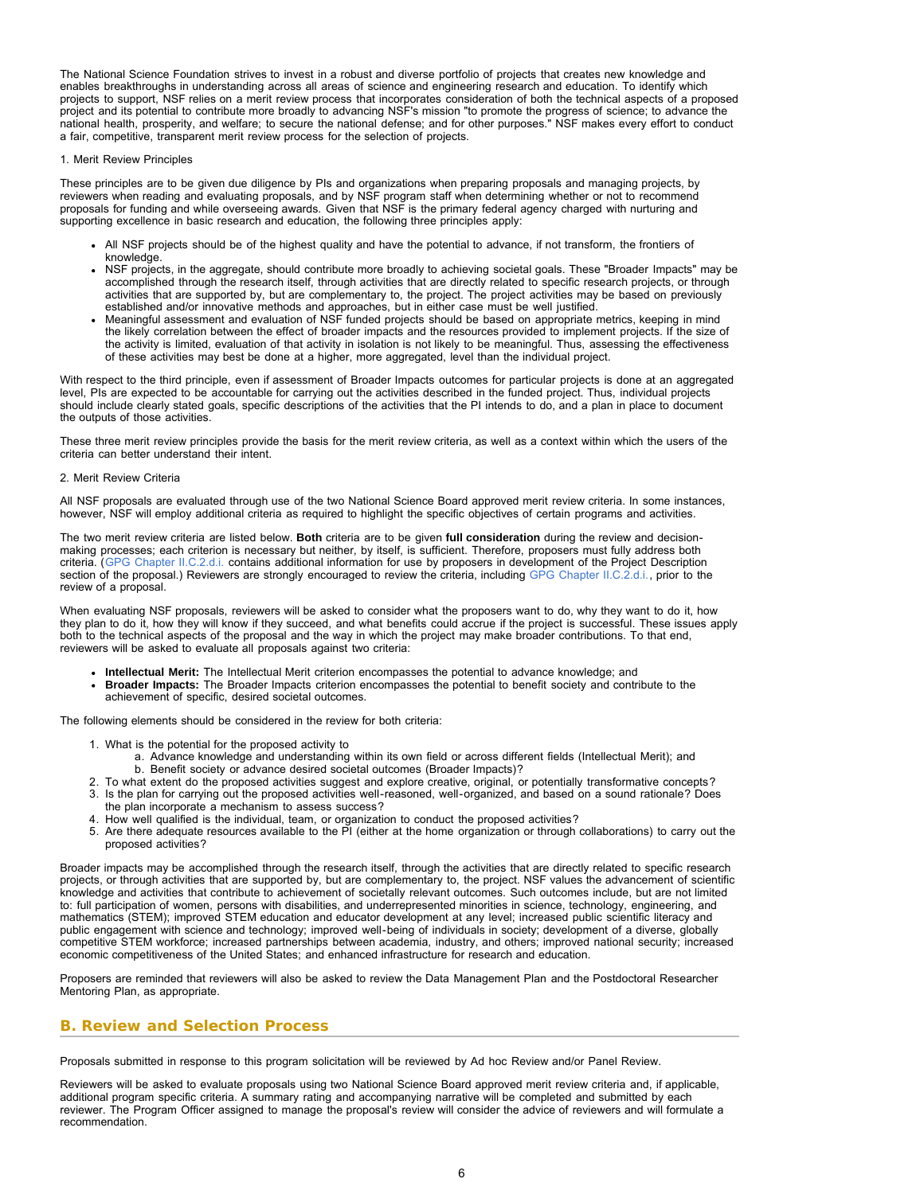The National Science Foundation strives to invest in a robust and diverse portfolio of projects that creates new knowledge and enables breakthroughs in understanding across all areas of science and engineering research and education. To identify which projects to support, NSF relies on a merit review process that incorporates consideration of both the technical aspects of a proposed project and its potential to contribute more broadly to advancing NSF's mission "to promote the progress of science; to advance the national health, prosperity, and welfare; to secure the national defense; and for other purposes." NSF makes every effort to conduct a fair, competitive, transparent merit review process for the selection of projects.

#### 1. Merit Review Principles

These principles are to be given due diligence by PIs and organizations when preparing proposals and managing projects, by reviewers when reading and evaluating proposals, and by NSF program staff when determining whether or not to recommend proposals for funding and while overseeing awards. Given that NSF is the primary federal agency charged with nurturing and supporting excellence in basic research and education, the following three principles apply:

- All NSF projects should be of the highest quality and have the potential to advance, if not transform, the frontiers of knowledge.
- NSF projects, in the aggregate, should contribute more broadly to achieving societal goals. These "Broader Impacts" may be accomplished through the research itself, through activities that are directly related to specific research projects, or through activities that are supported by, but are complementary to, the project. The project activities may be based on previously established and/or innovative methods and approaches, but in either case must be well justified.
- Meaningful assessment and evaluation of NSF funded projects should be based on appropriate metrics, keeping in mind the likely correlation between the effect of broader impacts and the resources provided to implement projects. If the size of the activity is limited, evaluation of that activity in isolation is not likely to be meaningful. Thus, assessing the effectiveness of these activities may best be done at a higher, more aggregated, level than the individual project.

With respect to the third principle, even if assessment of Broader Impacts outcomes for particular projects is done at an aggregated level, PIs are expected to be accountable for carrying out the activities described in the funded project. Thus, individual projects should include clearly stated goals, specific descriptions of the activities that the PI intends to do, and a plan in place to document the outputs of those activities.

These three merit review principles provide the basis for the merit review criteria, as well as a context within which the users of the criteria can better understand their intent.

#### 2. Merit Review Criteria

All NSF proposals are evaluated through use of the two National Science Board approved merit review criteria. In some instances, however, NSF will employ additional criteria as required to highlight the specific objectives of certain programs and activities.

The two merit review criteria are listed below. **Both** criteria are to be given **full consideration** during the review and decisionmaking processes; each criterion is necessary but neither, by itself, is sufficient. Therefore, proposers must fully address both criteria. ([GPG Chapter II.C.2.d.i.](http://www.nsf.gov/pubs/policydocs/pappguide/nsf13001/gpg_2.jsp#IIC2di) contains additional information for use by proposers in development of the Project Description section of the proposal.) Reviewers are strongly encouraged to review the criteria, including [GPG Chapter II.C.2.d.i.,](http://www.nsf.gov/pubs/policydocs/pappguide/nsf13001/gpg_2.jsp#IIC2di) prior to the review of a proposal.

When evaluating NSF proposals, reviewers will be asked to consider what the proposers want to do, why they want to do it, how they plan to do it, how they will know if they succeed, and what benefits could accrue if the project is successful. These issues apply both to the technical aspects of the proposal and the way in which the project may make broader contributions. To that end, reviewers will be asked to evaluate all proposals against two criteria:

- **Intellectual Merit:** The Intellectual Merit criterion encompasses the potential to advance knowledge; and
- **Broader Impacts:** The Broader Impacts criterion encompasses the potential to benefit society and contribute to the achievement of specific, desired societal outcomes.

The following elements should be considered in the review for both criteria:

- 1. What is the potential for the proposed activity to
	- a. Advance knowledge and understanding within its own field or across different fields (Intellectual Merit); and b. Benefit society or advance desired societal outcomes (Broader Impacts)?
- 2. To what extent do the proposed activities suggest and explore creative, original, or potentially transformative concepts?
- 3. Is the plan for carrying out the proposed activities well-reasoned, well-organized, and based on a sound rationale? Does the plan incorporate a mechanism to assess success?
- 4. How well qualified is the individual, team, or organization to conduct the proposed activities?
- 5. Are there adequate resources available to the PI (either at the home organization or through collaborations) to carry out the proposed activities?

Broader impacts may be accomplished through the research itself, through the activities that are directly related to specific research projects, or through activities that are supported by, but are complementary to, the project. NSF values the advancement of scientific knowledge and activities that contribute to achievement of societally relevant outcomes. Such outcomes include, but are not limited to: full participation of women, persons with disabilities, and underrepresented minorities in science, technology, engineering, and mathematics (STEM); improved STEM education and educator development at any level; increased public scientific literacy and public engagement with science and technology; improved well-being of individuals in society; development of a diverse, globally competitive STEM workforce; increased partnerships between academia, industry, and others; improved national security; increased economic competitiveness of the United States; and enhanced infrastructure for research and education.

Proposers are reminded that reviewers will also be asked to review the Data Management Plan and the Postdoctoral Researcher Mentoring Plan, as appropriate.

### <span id="page-5-0"></span>**B. Review and Selection Process**

Proposals submitted in response to this program solicitation will be reviewed by Ad hoc Review and/or Panel Review.

Reviewers will be asked to evaluate proposals using two National Science Board approved merit review criteria and, if applicable, additional program specific criteria. A summary rating and accompanying narrative will be completed and submitted by each reviewer. The Program Officer assigned to manage the proposal's review will consider the advice of reviewers and will formulate a recommendation.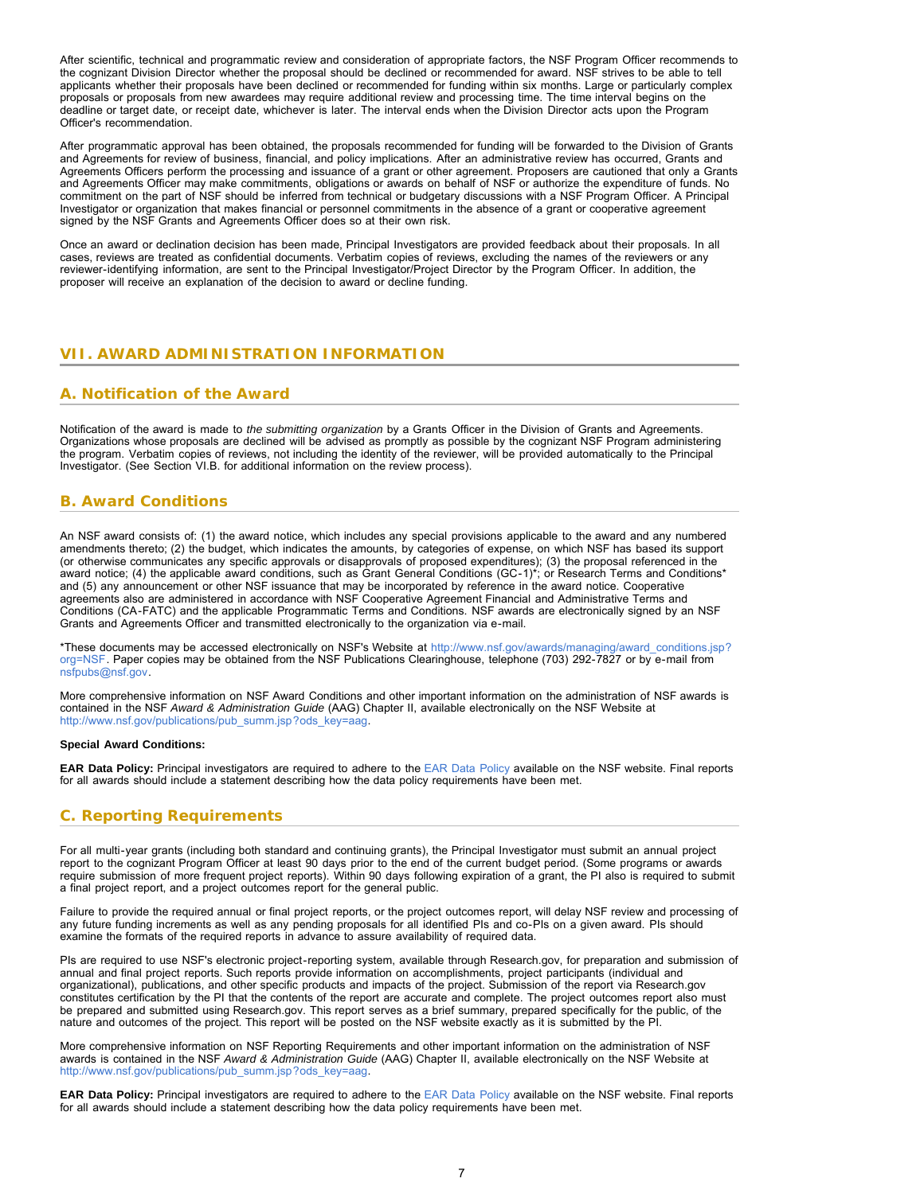After scientific, technical and programmatic review and consideration of appropriate factors, the NSF Program Officer recommends to the cognizant Division Director whether the proposal should be declined or recommended for award. NSF strives to be able to tell applicants whether their proposals have been declined or recommended for funding within six months. Large or particularly complex proposals or proposals from new awardees may require additional review and processing time. The time interval begins on the deadline or target date, or receipt date, whichever is later. The interval ends when the Division Director acts upon the Program Officer's recommendation.

After programmatic approval has been obtained, the proposals recommended for funding will be forwarded to the Division of Grants and Agreements for review of business, financial, and policy implications. After an administrative review has occurred, Grants and Agreements Officers perform the processing and issuance of a grant or other agreement. Proposers are cautioned that only a Grants and Agreements Officer may make commitments, obligations or awards on behalf of NSF or authorize the expenditure of funds. No commitment on the part of NSF should be inferred from technical or budgetary discussions with a NSF Program Officer. A Principal Investigator or organization that makes financial or personnel commitments in the absence of a grant or cooperative agreement signed by the NSF Grants and Agreements Officer does so at their own risk.

Once an award or declination decision has been made, Principal Investigators are provided feedback about their proposals. In all cases, reviews are treated as confidential documents. Verbatim copies of reviews, excluding the names of the reviewers or any reviewer-identifying information, are sent to the Principal Investigator/Project Director by the Program Officer. In addition, the proposer will receive an explanation of the decision to award or decline funding.

## <span id="page-6-0"></span>**VII. AWARD ADMINISTRATION INFORMATION**

## <span id="page-6-1"></span>**A. Notification of the Award**

Notification of the award is made to *the submitting organization* by a Grants Officer in the Division of Grants and Agreements. Organizations whose proposals are declined will be advised as promptly as possible by the cognizant NSF Program administering the program. Verbatim copies of reviews, not including the identity of the reviewer, will be provided automatically to the Principal Investigator. (See Section VI.B. for additional information on the review process).

# <span id="page-6-2"></span>**B. Award Conditions**

An NSF award consists of: (1) the award notice, which includes any special provisions applicable to the award and any numbered amendments thereto; (2) the budget, which indicates the amounts, by categories of expense, on which NSF has based its support (or otherwise communicates any specific approvals or disapprovals of proposed expenditures); (3) the proposal referenced in the award notice; (4) the applicable award conditions, such as Grant General Conditions (GC-1)\*; or Research Terms and Conditions\* and (5) any announcement or other NSF issuance that may be incorporated by reference in the award notice. Cooperative agreements also are administered in accordance with NSF Cooperative Agreement Financial and Administrative Terms and Conditions (CA-FATC) and the applicable Programmatic Terms and Conditions. NSF awards are electronically signed by an NSF Grants and Agreements Officer and transmitted electronically to the organization via e-mail.

\*These documents may be accessed electronically on NSF's Website at [http://www.nsf.gov/awards/managing/award\\_conditions.jsp?](http://www.nsf.gov/awards/managing/award_conditions.jsp?org=NSF) [org=NSF.](http://www.nsf.gov/awards/managing/award_conditions.jsp?org=NSF) Paper copies may be obtained from the NSF Publications Clearinghouse, telephone (703) 292-7827 or by e-mail from [nsfpubs@nsf.gov.](mailto:nsfpubs@nsf.gov)

More comprehensive information on NSF Award Conditions and other important information on the administration of NSF awards is contained in the NSF *Award & Administration Guide* (AAG) Chapter II, available electronically on the NSF Website at [http://www.nsf.gov/publications/pub\\_summ.jsp?ods\\_key=aag.](http://www.nsf.gov/publications/pub_summ.jsp?ods_key=aag)

### **Special Award Conditions:**

**EAR Data Policy:** Principal investigators are required to adhere to the [EAR Data Policy](http://www.nsf.gov/bfa/dias/policy/dmp.jsp) available on the NSF website. Final reports for all awards should include a statement describing how the data policy requirements have been met.

# <span id="page-6-3"></span>**C. Reporting Requirements**

For all multi-year grants (including both standard and continuing grants), the Principal Investigator must submit an annual project report to the cognizant Program Officer at least 90 days prior to the end of the current budget period. (Some programs or awards require submission of more frequent project reports). Within 90 days following expiration of a grant, the PI also is required to submit a final project report, and a project outcomes report for the general public.

Failure to provide the required annual or final project reports, or the project outcomes report, will delay NSF review and processing of any future funding increments as well as any pending proposals for all identified PIs and co-PIs on a given award. PIs should examine the formats of the required reports in advance to assure availability of required data.

PIs are required to use NSF's electronic project-reporting system, available through Research.gov, for preparation and submission of annual and final project reports. Such reports provide information on accomplishments, project participants (individual and organizational), publications, and other specific products and impacts of the project. Submission of the report via Research.gov constitutes certification by the PI that the contents of the report are accurate and complete. The project outcomes report also must be prepared and submitted using Research.gov. This report serves as a brief summary, prepared specifically for the public, of the nature and outcomes of the project. This report will be posted on the NSF website exactly as it is submitted by the PI.

More comprehensive information on NSF Reporting Requirements and other important information on the administration of NSF awards is contained in the NSF *Award & Administration Guide* (AAG) Chapter II, available electronically on the NSF Website at [http://www.nsf.gov/publications/pub\\_summ.jsp?ods\\_key=aag.](http://www.nsf.gov/publications/pub_summ.jsp?ods_key=aag)

**EAR Data Policy:** Principal investigators are required to adhere to the [EAR Data Policy](http://www.nsf.gov/bfa/dias/policy/dmp.jsp) available on the NSF website. Final reports for all awards should include a statement describing how the data policy requirements have been met.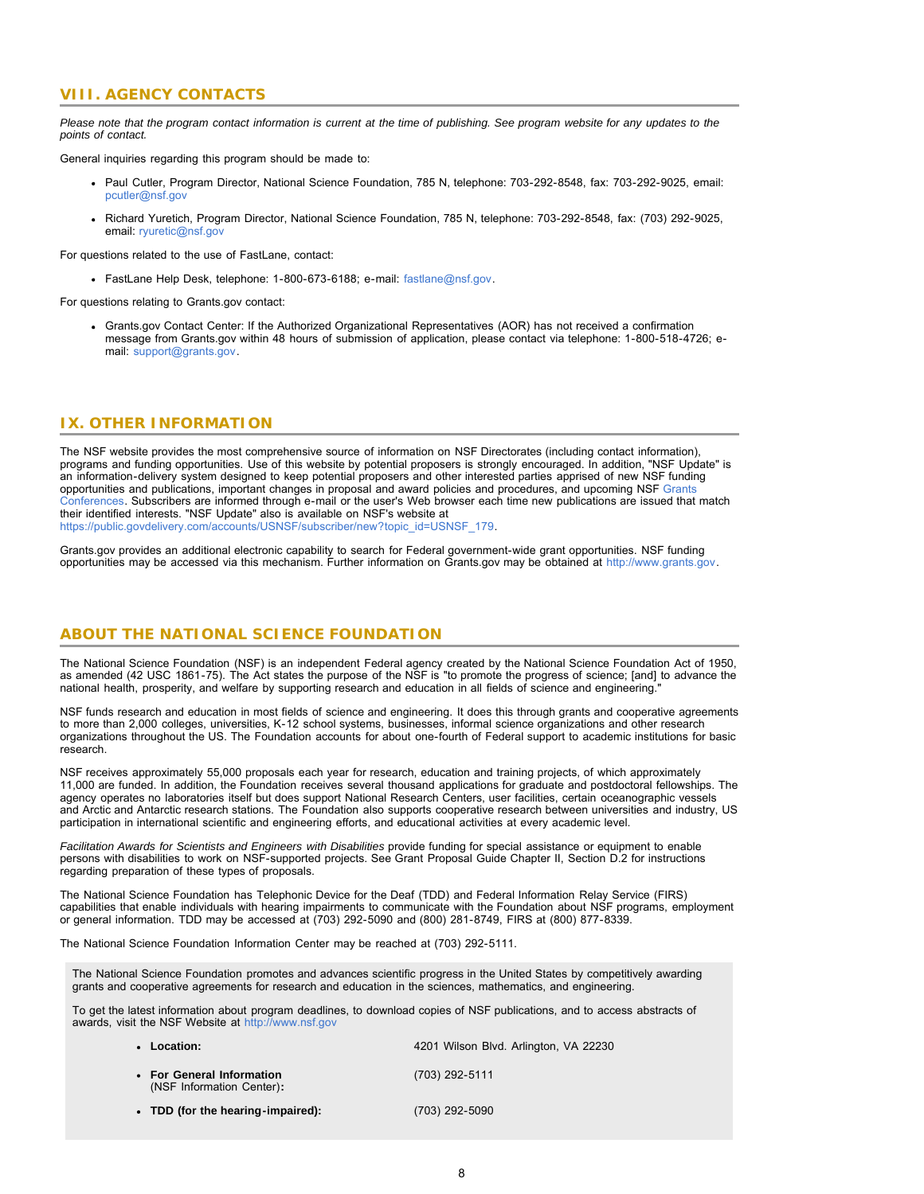# <span id="page-7-0"></span>**VIII. AGENCY CONTACTS**

*Please note that the program contact information is current at the time of publishing. See program website for any updates to the points of contact.*

General inquiries regarding this program should be made to:

- Paul Cutler, Program Director, National Science Foundation, 785 N, telephone: 703-292-8548, fax: 703-292-9025, email: [pcutler@nsf.gov](mailto:pcutler@nsf.gov)
- Richard Yuretich, Program Director, National Science Foundation, 785 N, telephone: 703-292-8548, fax: (703) 292-9025, email: [ryuretic@nsf.gov](mailto:ryuretic@nsf.gov)

For questions related to the use of FastLane, contact:

FastLane Help Desk, telephone: 1-800-673-6188; e-mail: [fastlane@nsf.gov.](mailto:fastlane@nsf.gov)

For questions relating to Grants.gov contact:

Grants.gov Contact Center: If the Authorized Organizational Representatives (AOR) has not received a confirmation message from Grants.gov within 48 hours of submission of application, please contact via telephone: 1-800-518-4726; email: [support@grants.gov.](mailto:support@grants.gov)

# <span id="page-7-1"></span>**IX. OTHER INFORMATION**

The NSF website provides the most comprehensive source of information on NSF Directorates (including contact information), programs and funding opportunities. Use of this website by potential proposers is strongly encouraged. In addition, "NSF Update" is an information-delivery system designed to keep potential proposers and other interested parties apprised of new NSF funding opportunities and publications, important changes in proposal and award policies and procedures, and upcoming NSF [Grants](http://www.nsf.gov/bfa/dias/policy/outreach.jsp) [Conferences.](http://www.nsf.gov/bfa/dias/policy/outreach.jsp) Subscribers are informed through e-mail or the user's Web browser each time new publications are issued that match their identified interests. "NSF Update" also is available on NSF's website at [https://public.govdelivery.com/accounts/USNSF/subscriber/new?topic\\_id=USNSF\\_179.](http://www.nsf.gov/cgi-bin/good-bye?https://public.govdelivery.com/accounts/USNSF/subscriber/new?topic_id=USNSF_179)

Grants.gov provides an additional electronic capability to search for Federal government-wide grant opportunities. NSF funding opportunities may be accessed via this mechanism. Further information on Grants.gov may be obtained at [http://www.grants.gov.](http://www.grants.gov/)

# **ABOUT THE NATIONAL SCIENCE FOUNDATION**

The National Science Foundation (NSF) is an independent Federal agency created by the National Science Foundation Act of 1950, as amended (42 USC 1861-75). The Act states the purpose of the NSF is "to promote the progress of science; [and] to advance the national health, prosperity, and welfare by supporting research and education in all fields of science and engineering."

NSF funds research and education in most fields of science and engineering. It does this through grants and cooperative agreements to more than 2,000 colleges, universities, K-12 school systems, businesses, informal science organizations and other research organizations throughout the US. The Foundation accounts for about one-fourth of Federal support to academic institutions for basic research.

NSF receives approximately 55,000 proposals each year for research, education and training projects, of which approximately 11,000 are funded. In addition, the Foundation receives several thousand applications for graduate and postdoctoral fellowships. The agency operates no laboratories itself but does support National Research Centers, user facilities, certain oceanographic vessels and Arctic and Antarctic research stations. The Foundation also supports cooperative research between universities and industry, US participation in international scientific and engineering efforts, and educational activities at every academic level.

*Facilitation Awards for Scientists and Engineers with Disabilities* provide funding for special assistance or equipment to enable persons with disabilities to work on NSF-supported projects. See Grant Proposal Guide Chapter II, Section D.2 for instructions regarding preparation of these types of proposals.

The National Science Foundation has Telephonic Device for the Deaf (TDD) and Federal Information Relay Service (FIRS) capabilities that enable individuals with hearing impairments to communicate with the Foundation about NSF programs, employment or general information. TDD may be accessed at (703) 292-5090 and (800) 281-8749, FIRS at (800) 877-8339.

The National Science Foundation Information Center may be reached at (703) 292-5111.

The National Science Foundation promotes and advances scientific progress in the United States by competitively awarding grants and cooperative agreements for research and education in the sciences, mathematics, and engineering.

To get the latest information about program deadlines, to download copies of NSF publications, and to access abstracts of awards, visit the NSF Website at [http://www.nsf.gov](http://www.nsf.gov/)

| • Location:                                            | 4201 Wilson Blvd. Arlington, VA 22230 |
|--------------------------------------------------------|---------------------------------------|
| • For General Information<br>(NSF Information Center): | (703) 292-5111                        |
| • TDD (for the hearing-impaired):                      | (703) 292-5090                        |